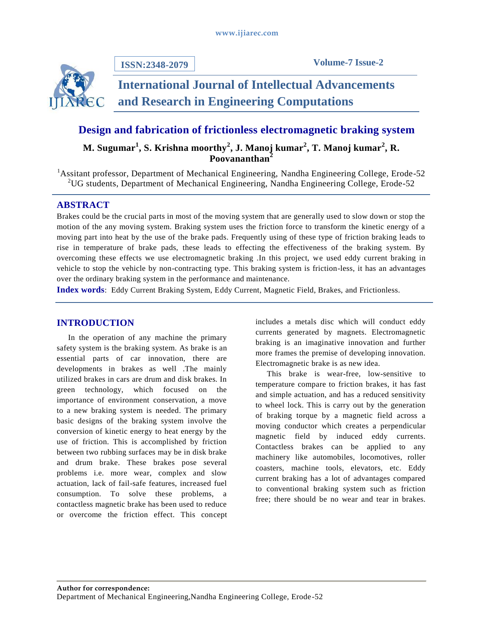

**ISSN:2348-2079**

**Volume-7 Issue-2**

# **International Journal of Intellectual Advancements and Research in Engineering Computations**

## **Design and fabrication of frictionless electromagnetic braking system**

**M. Sugumar<sup>1</sup> , S. Krishna moorthy<sup>2</sup> , J. Manoj kumar<sup>2</sup> , T. Manoj kumar<sup>2</sup> , R. Poovananthan<sup>2</sup>**

<sup>1</sup> Assitant professor, Department of Mechanical Engineering, Nandha Engineering College, Erode-52 <sup>2</sup>UG students, Department of Mechanical Engineering, Nandha Engineering College, Erode-52

## **ABSTRACT**

Brakes could be the crucial parts in most of the moving system that are generally used to slow down or stop the motion of the any moving system. Braking system uses the friction force to transform the kinetic energy of a moving part into heat by the use of the brake pads. Frequently using of these type of friction braking leads to rise in temperature of brake pads, these leads to effecting the effectiveness of the braking system. By overcoming these effects we use electromagnetic braking .In this project, we used eddy current braking in vehicle to stop the vehicle by non-contracting type. This braking system is friction-less, it has an advantages over the ordinary braking system in the performance and maintenance.

**Index words**: Eddy Current Braking System, Eddy Current, Magnetic Field, Brakes, and Frictionless.

## **INTRODUCTION**

In the operation of any machine the primary safety system is the braking system. As brake is an essential parts of car innovation, there are developments in brakes as well .The mainly utilized brakes in cars are drum and disk brakes. In green technology, which focused on the importance of environment conservation, a move to a new braking system is needed. The primary basic designs of the braking system involve the conversion of kinetic energy to heat energy by the use of friction. This is accomplished by friction between two rubbing surfaces may be in disk brake and drum brake. These brakes pose several problems i.e. more wear, complex and slow actuation, lack of fail-safe features, increased fuel consumption. To solve these problems, a contactless magnetic brake has been used to reduce or overcome the friction effect. This concept

includes a metals disc which will conduct eddy currents generated by magnets. Electromagnetic braking is an imaginative innovation and further more frames the premise of developing innovation. Electromagnetic brake is as new idea.

This brake is wear-free, low-sensitive to temperature compare to friction brakes, it has fast and simple actuation, and has a reduced sensitivity to wheel lock. This is carry out by the generation of braking torque by a magnetic field across a moving conductor which creates a perpendicular magnetic field by induced eddy currents. Contactless brakes can be applied to any machinery like automobiles, locomotives, roller coasters, machine tools, elevators, etc. Eddy current braking has a lot of advantages compared to conventional braking system such as friction free; there should be no wear and tear in brakes.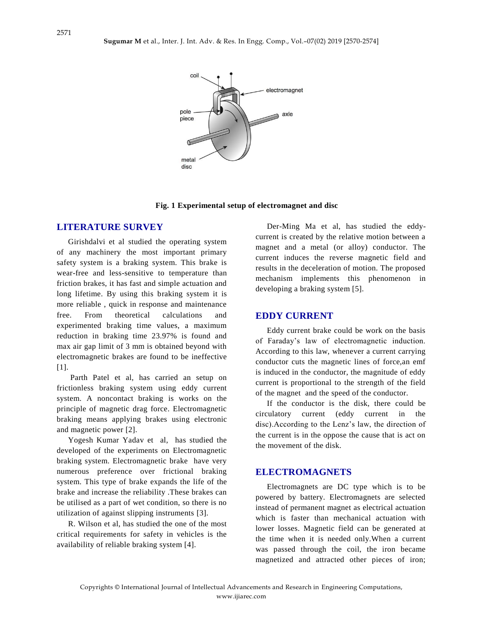

**Fig. 1 Experimental setup of electromagnet and disc**

#### **LITERATURE SURVEY**

Girishdalvi et al studied the operating system of any machinery the most important primary safety system is a braking system. This brake is wear-free and less-sensitive to temperature than friction brakes, it has fast and simple actuation and long lifetime. By using this braking system it is more reliable , quick in response and maintenance free. From theoretical calculations and experimented braking time values, a maximum reduction in braking time 23.97% is found and max air gap limit of 3 mm is obtained beyond with electromagnetic brakes are found to be ineffective [1].

Parth Patel et al, has carried an setup on frictionless braking system using eddy current system. A noncontact braking is works on the principle of magnetic drag force. Electromagnetic braking means applying brakes using electronic and magnetic power [2].

Yogesh Kumar Yadav et al, has studied the developed of the experiments on Electromagnetic braking system. Electromagnetic brake have very numerous preference over frictional braking system. This type of brake expands the life of the brake and increase the reliability .These brakes can be utilised as a part of wet condition, so there is no utilization of against slipping instruments [3].

R. Wilson et al, has studied the one of the most critical requirements for safety in vehicles is the availability of reliable braking system [4].

Der-Ming Ma et al, has studied the eddycurrent is created by the relative motion between a magnet and a metal (or alloy) conductor. The current induces the reverse magnetic field and results in the deceleration of motion. The proposed mechanism implements this phenomenon in developing a braking system [5].

#### **EDDY CURRENT**

Eddy current brake could be work on the basis of Faraday's law of electromagnetic induction. According to this law, whenever a current carrying conductor cuts the magnetic lines of force,an emf is induced in the conductor, the magnitude of eddy current is proportional to the strength of the field of the magnet and the speed of the conductor.

If the conductor is the disk, there could be circulatory current (eddy current in the disc).According to the Lenz's law, the direction of the current is in the oppose the cause that is act on the movement of the disk.

#### **ELECTROMAGNETS**

Electromagnets are DC type which is to be powered by battery. Electromagnets are selected instead of permanent magnet as electrical actuation which is faster than mechanical actuation with lower losses. Magnetic field can be generated at the time when it is needed only.When a current was passed through the coil, the iron became magnetized and attracted other pieces of iron;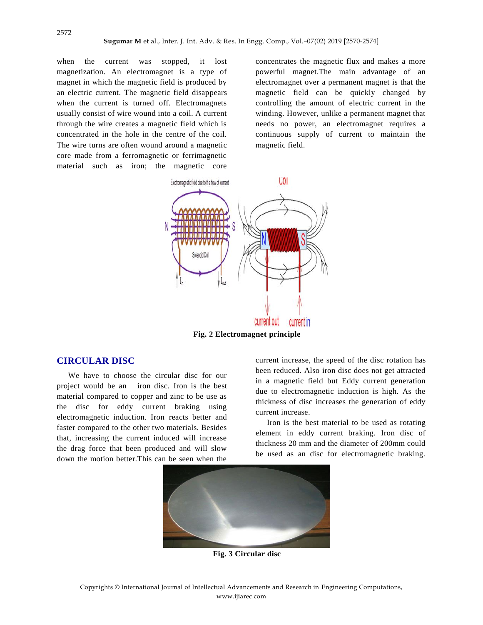2572

when the current was stopped, it lost magnetization. An electromagnet is a type of magnet in which the magnetic field is produced by an electric current. The magnetic field disappears when the current is turned off. Electromagnets usually consist of wire wound into a coil. A current through the wire creates a magnetic field which is concentrated in the hole in the centre of the coil. The wire turns are often wound around a magnetic core made from a ferromagnetic or ferrimagnetic material such as iron; the magnetic core

concentrates the magnetic flux and makes a more powerful magnet.The main advantage of an electromagnet over a permanent magnet is that the magnetic field can be quickly changed by controlling the amount of electric current in the winding. However, unlike a permanent magnet that needs no power, an electromagnet requires a continuous supply of current to maintain the magnetic field.



**Fig. 2 Electromagnet principle**

## **CIRCULAR DISC**

We have to choose the circular disc for our project would be an iron disc. Iron is the best material compared to copper and zinc to be use as the disc for eddy current braking using electromagnetic induction. Iron reacts better and faster compared to the other two materials. Besides that, increasing the current induced will increase the drag force that been produced and will slow down the motion better.This can be seen when the

current increase, the speed of the disc rotation has been reduced. Also iron disc does not get attracted in a magnetic field but Eddy current generation due to electromagnetic induction is high. As the thickness of disc increases the generation of eddy current increase.

Iron is the best material to be used as rotating element in eddy current braking. Iron disc of thickness 20 mm and the diameter of 200mm could be used as an disc for electromagnetic braking.



**Fig. 3 Circular disc**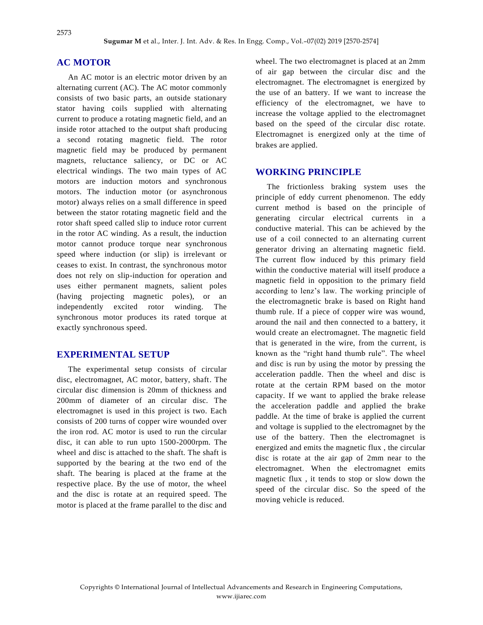## **AC MOTOR**

An AC motor is an electric motor driven by an alternating current (AC). The AC motor commonly consists of two basic parts, an outside stationary stator having coils supplied with alternating current to produce a rotating magnetic field, and an inside rotor attached to the output shaft producing a second rotating magnetic field. The rotor magnetic field may be produced by permanent magnets, reluctance saliency, or DC or AC electrical windings. The two main types of AC motors are induction motors and synchronous motors. The induction motor (or asynchronous motor) always relies on a small difference in speed between the stator rotating magnetic field and the rotor shaft speed called slip to induce rotor current in the rotor AC winding. As a result, the induction motor cannot produce torque near synchronous speed where induction (or slip) is irrelevant or ceases to exist. In contrast, the synchronous motor does not rely on slip-induction for operation and uses either permanent magnets, salient poles (having projecting magnetic poles), or an independently excited rotor winding. The synchronous motor produces its rated torque at exactly synchronous speed.

## **EXPERIMENTAL SETUP**

The experimental setup consists of circular disc, electromagnet, AC motor, battery, shaft. The circular disc dimension is 20mm of thickness and 200mm of diameter of an circular disc. The electromagnet is used in this project is two. Each consists of 200 turns of copper wire wounded over the iron rod. AC motor is used to run the circular disc, it can able to run upto 1500-2000rpm. The wheel and disc is attached to the shaft. The shaft is supported by the bearing at the two end of the shaft. The bearing is placed at the frame at the respective place. By the use of motor, the wheel and the disc is rotate at an required speed. The motor is placed at the frame parallel to the disc and

wheel. The two electromagnet is placed at an 2mm of air gap between the circular disc and the electromagnet. The electromagnet is energized by the use of an battery. If we want to increase the efficiency of the electromagnet, we have to increase the voltage applied to the electromagnet based on the speed of the circular disc rotate. Electromagnet is energized only at the time of brakes are applied.

## **WORKING PRINCIPLE**

The frictionless braking system uses the principle of eddy current phenomenon. The eddy current method is based on the principle of generating circular electrical currents in a conductive material. This can be achieved by the use of a coil connected to an alternating current generator driving an alternating magnetic field. The current flow induced by this primary field within the conductive material will itself produce a magnetic field in opposition to the primary field according to lenz's law. The working principle of the electromagnetic brake is based on Right hand thumb rule. If a piece of copper wire was wound, around the nail and then connected to a battery, it would create an electromagnet. The magnetic field that is generated in the wire, from the current, is known as the "right hand thumb rule". The wheel and disc is run by using the motor by pressing the acceleration paddle. Then the wheel and disc is rotate at the certain RPM based on the motor capacity. If we want to applied the brake release the acceleration paddle and applied the brake paddle. At the time of brake is applied the current and voltage is supplied to the electromagnet by the use of the battery. Then the electromagnet is energized and emits the magnetic flux , the circular disc is rotate at the air gap of 2mm near to the electromagnet. When the electromagnet emits magnetic flux , it tends to stop or slow down the speed of the circular disc. So the speed of the moving vehicle is reduced.